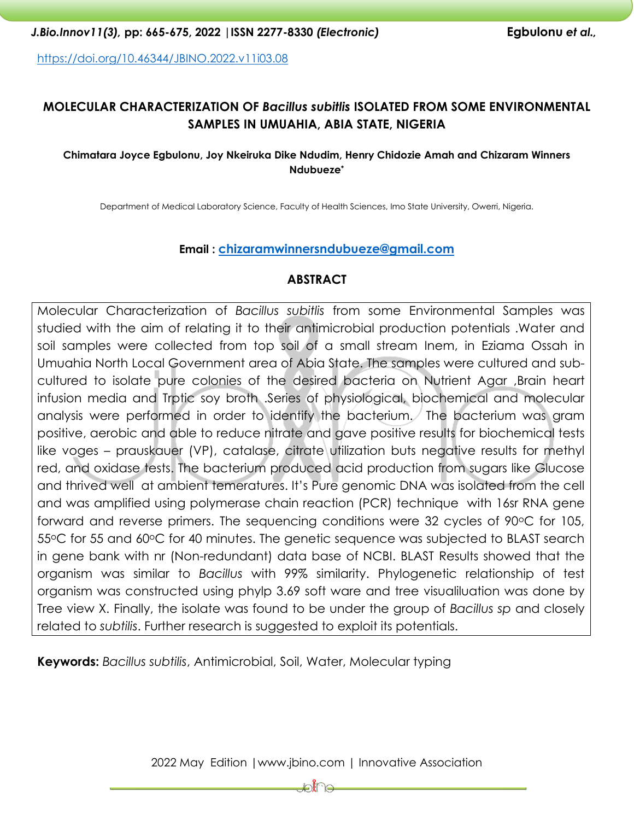<https://doi.org/10.46344/JBINO.2022.v11i03.08>

# **MOLECULAR CHARACTERIZATION OF** *Bacillus subitlis* **ISOLATED FROM SOME ENVIRONMENTAL SAMPLES IN UMUAHIA, ABIA STATE, NIGERIA**

#### **Chimatara Joyce Egbulonu, Joy Nkeiruka Dike Ndudim, Henry Chidozie Amah and Chizaram Winners Ndubueze\***

Department of Medical Laboratory Science, Faculty of Health Sciences, Imo State University, Owerri, Nigeria.

#### **Email : [chizaramwinnersndubueze@gmail.com](mailto:chizaramwinnersndubueze@gmail.com)**

## **ABSTRACT**

Molecular Characterization of *Bacillus subitlis* from some Environmental Samples was studied with the aim of relating it to their antimicrobial production potentials .Water and soil samples were collected from top soil of a small stream Inem, in Eziama Ossah in Umuahia North Local Government area of Abia State. The samples were cultured and subcultured to isolate pure colonies of the desired bacteria on Nutrient Agar ,Brain heart infusion media and Trptic soy broth .Series of physiological, biochemical and molecular analysis were performed in order to identify the bacterium. The bacterium was gram positive, aerobic and able to reduce nitrate and gave positive results for biochemical tests like voges – prauskauer (VP), catalase, citrate utilization buts negative results for methyl red, and oxidase tests. The bacterium produced acid production from sugars like Glucose and thrived well at ambient temeratures. It's Pure genomic DNA was isolated from the cell and was amplified using polymerase chain reaction (PCR) technique with 16sr RNA gene forward and reverse primers. The sequencing conditions were 32 cycles of  $90^{\circ}$ C for 105, 55 °C for 55 and 60 °C for 40 minutes. The genetic sequence was subjected to BLAST search in gene bank with nr (Non-redundant) data base of NCBI. BLAST Results showed that the organism was similar to *Bacillus* with 99% similarity. Phylogenetic relationship of test organism was constructed using phylp 3.69 soft ware and tree visualiluation was done by Tree view X. Finally, the isolate was found to be under the group of *Bacillus sp* and closely related to *subtilis*. Further research is suggested to exploit its potentials.

**Keywords:** *Bacillus subtilis*, Antimicrobial, Soil, Water, Molecular typing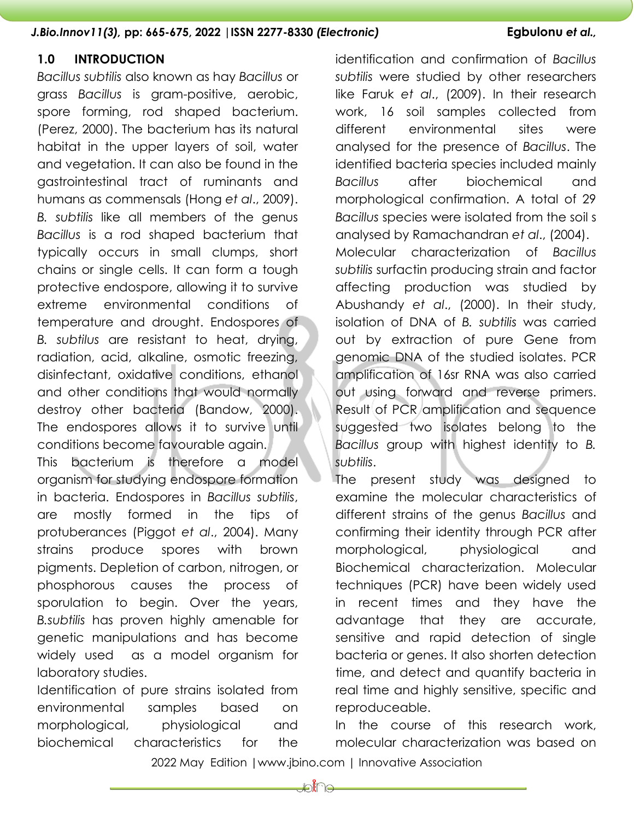# **1.0 INTRODUCTION**

*Bacillus subtilis* also known as hay *Bacillus* or grass *Bacillus* is gram-positive, aerobic, spore forming, rod shaped bacterium. (Perez, 2000). The bacterium has its natural habitat in the upper layers of soil, water and vegetation. It can also be found in the gastrointestinal tract of ruminants and humans as commensals (Hong *et al*., 2009). *B. subtilis* like all members of the genus *Bacillus* is a rod shaped bacterium that typically occurs in small clumps, short chains or single cells. It can form a tough protective endospore, allowing it to survive extreme environmental conditions of temperature and drought. Endospores of *B. subtilus* are resistant to heat, drying, radiation, acid, alkaline, osmotic freezing, disinfectant, oxidative conditions, ethanol and other conditions that would normally destroy other bacteria (Bandow, 2000). The endospores allows it to survive until conditions become favourable again. This bacterium is therefore a model organism for studying endospore formation

in bacteria. Endospores in *Bacillus subtilis*, are mostly formed in the tips of protuberances (Piggot *et al*., 2004). Many strains produce spores with brown pigments. Depletion of carbon, nitrogen, or phosphorous causes the process of sporulation to begin. Over the years, *B.subtilis* has proven highly amenable for genetic manipulations and has become widely used as a model organism for laboratory studies.

Identification of pure strains isolated from environmental samples based on morphological, physiological and biochemical characteristics for the

identification and confirmation of *Bacillus subtilis* were studied by other researchers like Faruk *et al*., (2009). In their research work, 16 soil samples collected from different environmental sites were analysed for the presence of *Bacillus*. The identified bacteria species included mainly *Bacillus* after biochemical and morphological confirmation. A total of 29 *Bacillus* species were isolated from the soil s analysed by Ramachandran *et al*., (2004). Molecular characterization of *Bacillus subtilis* surfactin producing strain and factor affecting production was studied by Abushandy *et al*., (2000). In their study, isolation of DNA of *B. subtilis* was carried out by extraction of pure Gene from genomic DNA of the studied isolates. PCR amplification of 16sr RNA was also carried out using forward and reverse primers. Result of PCR amplification and sequence suggested two isolates belong to the *Bacillus* group with highest identity to *B. subtilis*.

The present study was designed to examine the molecular characteristics of different strains of the genus *Bacillus* and confirming their identity through PCR after morphological, physiological and Biochemical characterization. Molecular techniques (PCR) have been widely used in recent times and they have the advantage that they are accurate, sensitive and rapid detection of single bacteria or genes. It also shorten detection time, and detect and quantify bacteria in real time and highly sensitive, specific and reproduceable.

In the course of this research work, molecular characterization was based on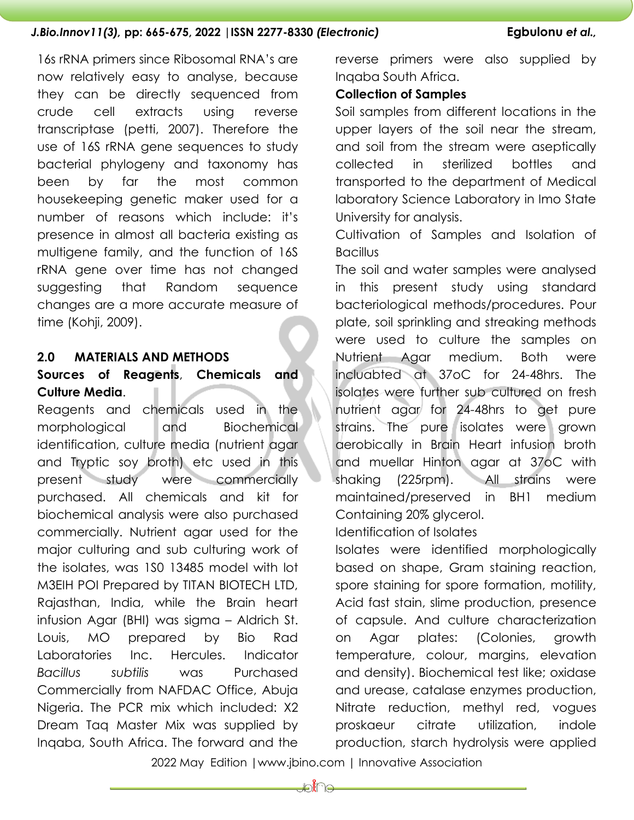16s rRNA primers since Ribosomal RNA's are now relatively easy to analyse, because they can be directly sequenced from crude cell extracts using reverse transcriptase (petti, 2007). Therefore the use of 16S rRNA gene sequences to study bacterial phylogeny and taxonomy has been by far the most common housekeeping genetic maker used for a number of reasons which include: it's presence in almost all bacteria existing as multigene family, and the function of 16S rRNA gene over time has not changed suggesting that Random sequence changes are a more accurate measure of time (Kohji, 2009).

# **2.0 MATERIALS AND METHODS**

# **Sources of Reagents**, **Chemicals and Culture Media**.

Reagents and chemicals used in the morphological and Biochemical identification, culture media (nutrient agar and Tryptic soy broth) etc used in this present study were commercially purchased. All chemicals and kit for biochemical analysis were also purchased commercially. Nutrient agar used for the major culturing and sub culturing work of the isolates, was 1S0 13485 model with lot M3EIH POI Prepared by TITAN BIOTECH LTD, Rajasthan, India, while the Brain heart infusion Agar (BHI) was sigma – Aldrich St. Louis, MO prepared by Bio Rad Laboratories Inc. Hercules. Indicator *Bacillus subtilis* was Purchased Commercially from NAFDAC Office, Abuja Nigeria. The PCR mix which included: X2 Dream Taq Master Mix was supplied by Inqaba, South Africa. The forward and the

reverse primers were also supplied by Inqaba South Africa.

# **Collection of Samples**

Soil samples from different locations in the upper layers of the soil near the stream, and soil from the stream were aseptically collected in sterilized bottles and transported to the department of Medical laboratory Science Laboratory in Imo State University for analysis.

Cultivation of Samples and Isolation of **Bacillus** 

The soil and water samples were analysed in this present study using standard bacteriological methods/procedures. Pour plate, soil sprinkling and streaking methods were used to culture the samples on Nutrient Agar medium. Both were incluabted at 37oC for 24-48hrs. The isolates were further sub cultured on fresh nutrient agar for 24-48hrs to get pure strains. The pure isolates were grown aerobically in Brain Heart infusion broth and muellar Hinton agar at 37oC with shaking (225rpm). All strains were maintained/preserved in BH1 medium Containing 20% glycerol.

Identification of Isolates

Isolates were identified morphologically based on shape, Gram staining reaction, spore staining for spore formation, motility, Acid fast stain, slime production, presence of capsule. And culture characterization on Agar plates: (Colonies, growth temperature, colour, margins, elevation and density). Biochemical test like; oxidase and urease, catalase enzymes production, Nitrate reduction, methyl red, vogues proskaeur citrate utilization, indole production, starch hydrolysis were applied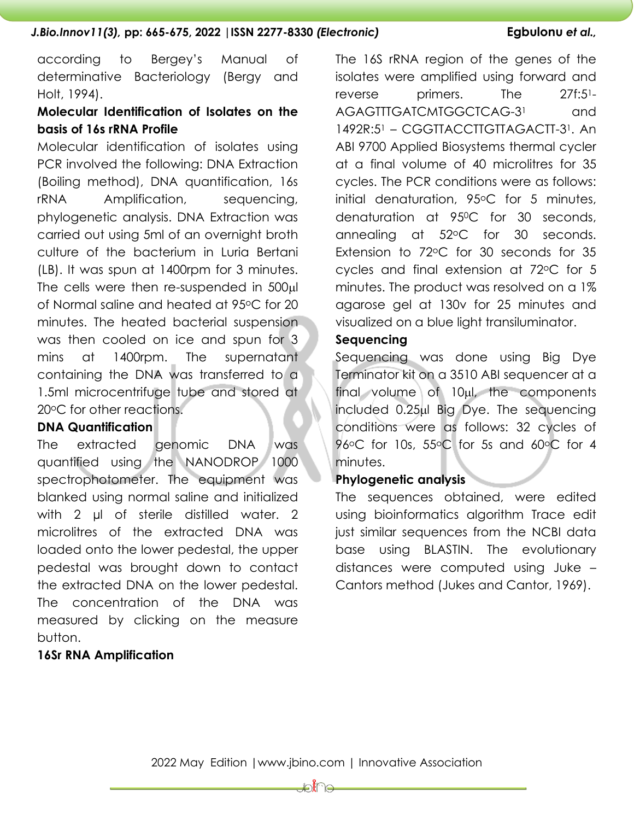according to Bergey's Manual of determinative Bacteriology (Bergy and Holt, 1994).

# **Molecular Identification of Isolates on the basis of 16s rRNA Profile**

Molecular identification of isolates using PCR involved the following: DNA Extraction (Boiling method), DNA quantification, 16s rRNA Amplification, sequencing, phylogenetic analysis. DNA Extraction was carried out using 5ml of an overnight broth culture of the bacterium in Luria Bertani (LB). It was spun at 1400rpm for 3 minutes. The cells were then re-suspended in 500 $\mu$ l of Normal saline and heated at 95oC for 20 minutes. The heated bacterial suspension was then cooled on ice and spun for 3 mins at 1400rpm. The supernatant containing the DNA was transferred to a 1.5ml microcentrifuge tube and stored at 20°C for other reactions.

# **DNA Quantification**

The extracted genomic DNA was quantified using the NANODROP 1000 spectrophotometer. The equipment was blanked using normal saline and initialized with 2 ul of sterile distilled water. 2 microlitres of the extracted DNA was loaded onto the lower pedestal, the upper pedestal was brought down to contact the extracted DNA on the lower pedestal. The concentration of the DNA was measured by clicking on the measure button.

# **16Sr RNA Amplification**

The 16S rRNA region of the genes of the isolates were amplified using forward and reverse primers. The 27f:51- AGAGTTTGATCMTGGCTCAG-3<sup>1</sup> and 1492R:5<sup>1</sup> – CGGTTACCTTGTTAGACTT-31. An ABI 9700 Applied Biosystems thermal cycler at a final volume of 40 microlitres for 35 cycles. The PCR conditions were as follows: initial denaturation, 95°C for 5 minutes, denaturation at 95<sup>o</sup>C for 30 seconds, annealing at 52°C for 30 seconds. Extension to 72<sup>o</sup>C for 30 seconds for 35 cycles and final extension at 72oC for 5 minutes. The product was resolved on a 1% agarose gel at 130v for 25 minutes and visualized on a blue light transiluminator.

#### **Sequencing**

Sequencing was done using Big Dye Terminator kit on a 3510 ABI sequencer at a  $final$  volume of  $10<sub>µ</sub>l$ , the components included 0.25µl Big Dye. The sequencing conditions were as follows: 32 cycles of 96<sup>o</sup>C for 10s, 55<sup>o</sup>C for 5s and 60<sup>o</sup>C for 4 minutes.

# **Phylogenetic analysis**

The sequences obtained, were edited using bioinformatics algorithm Trace edit just similar sequences from the NCBI data base using BLASTIN. The evolutionary distances were computed using Juke – Cantors method (Jukes and Cantor, 1969).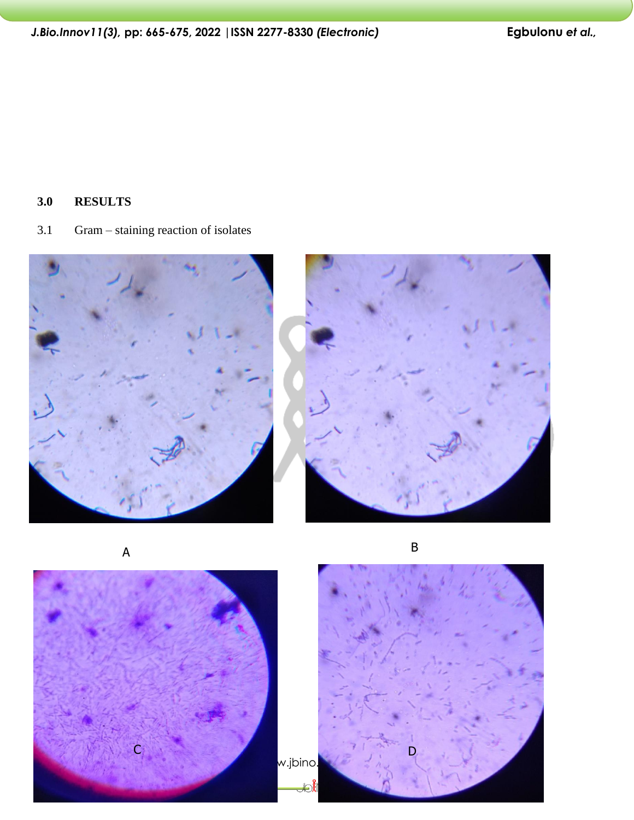**3.0 RESULTS**

3.1 Gram – staining reaction of isolates







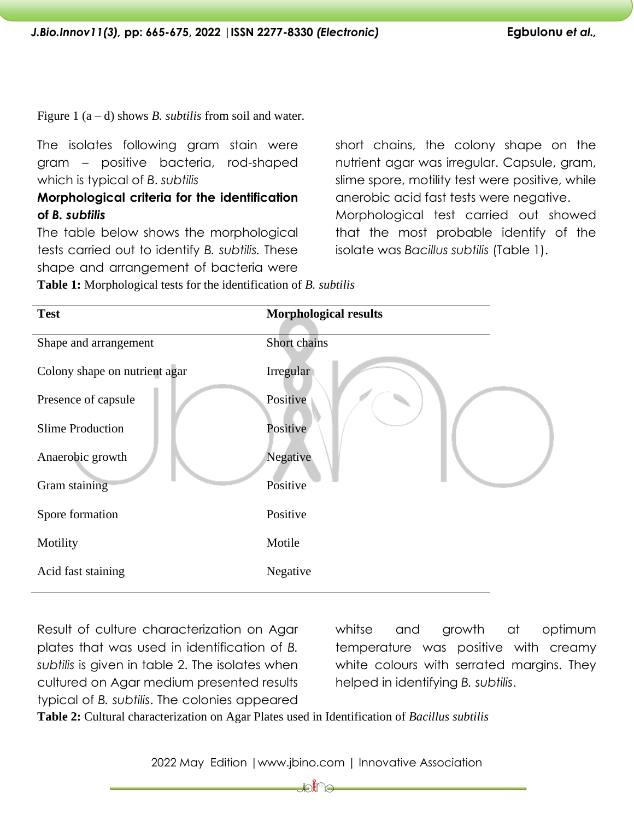Figure 1 (a – d) shows *B. subtilis* from soil and water.

The isolates following gram stain were gram – positive bacteria, rod-shaped which is typical of *B*. *subtilis*

# **Morphological criteria for the identification of** *B. subtilis*

The table below shows the morphological tests carried out to identify *B. subtilis.* These shape and arrangement of bacteria were

short chains, the colony shape on the nutrient agar was irregular. Capsule, gram, slime spore, motility test were positive, while anerobic acid fast tests were negative. Morphological test carried out showed that the most probable identify of the isolate was *Bacillus subtilis* (Table 1).

**Table 1:** Morphological tests for the identification of *B. subtilis*

| <b>Test</b>                   | <b>Morphological results</b> |
|-------------------------------|------------------------------|
| Shape and arrangement         | Short chains                 |
| Colony shape on nutrient agar | Irregular                    |
| Presence of capsule           | Positive                     |
| <b>Slime Production</b>       | Positive                     |
| Anaerobic growth              | Negative                     |
| Gram staining                 | Positive                     |
| Spore formation               | Positive                     |
| Motility                      | Motile                       |
| Acid fast staining            | Negative                     |
|                               |                              |

Result of culture characterization on Agar plates that was used in identification of *B. subtilis* is given in table 2. The isolates when cultured on Agar medium presented results typical of *B. subtilis*. The colonies appeared

whitse and growth at optimum temperature was positive with creamy white colours with serrated margins. They helped in identifying *B. subtilis*.

**Table 2:** Cultural characterization on Agar Plates used in Identification of *Bacillus subtilis*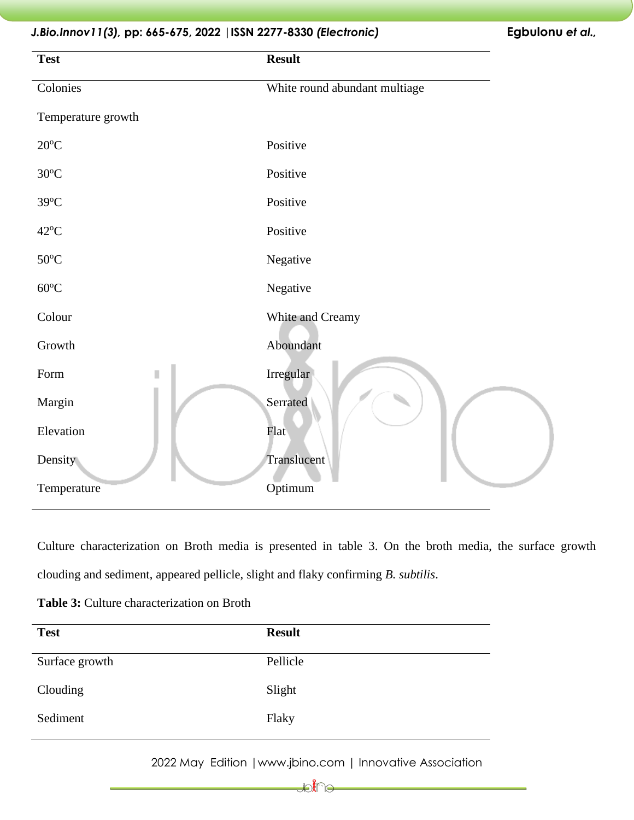# **Test Result**  Colonies White round abundant multiage Temperature growth 20<sup>o</sup>C Positive 30<sup>o</sup>C Positive 39<sup>o</sup>C Positive 42<sup>o</sup>C Positive 50<sup>o</sup>C Negative 60<sup>o</sup>C Negative Colour White and Creamy Growth Aboundant Form **II** Irregular Margin Serrated Elevation Flat Density Translucent Temperature Optimum

Culture characterization on Broth media is presented in table 3. On the broth media, the surface growth clouding and sediment, appeared pellicle, slight and flaky confirming *B. subtilis*.

| <b>Test</b>    | <b>Result</b> |
|----------------|---------------|
| Surface growth | Pellicle      |
| Clouding       | Slight        |
| Sediment       | Flaky         |

**Table 3:** Culture characterization on Broth

2022 May Edition |www.jbino.com | Innovative Association

∭€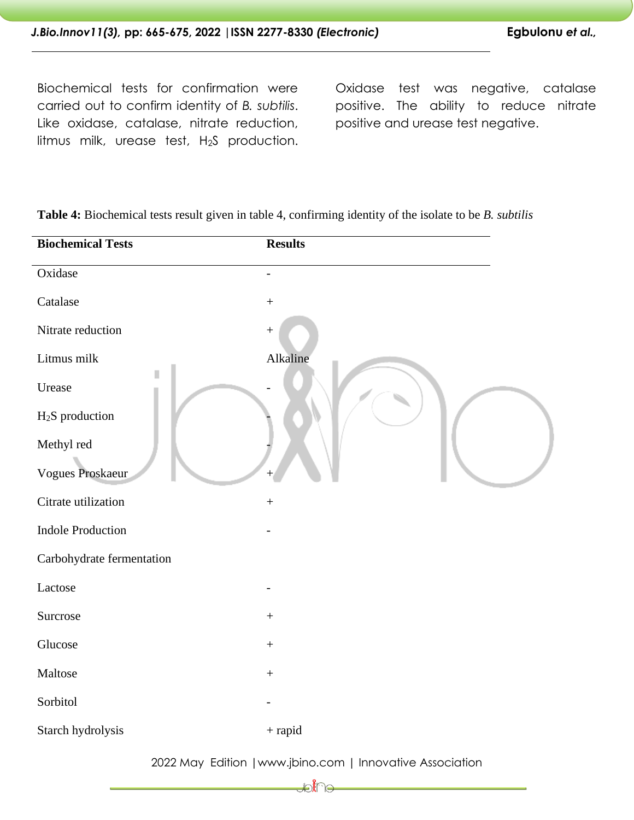Biochemical tests for confirmation were carried out to confirm identity of *B. subtilis*. Like oxidase, catalase, nitrate reduction, litmus milk, urease test, H<sub>2</sub>S production.

Oxidase test was negative, catalase positive. The ability to reduce nitrate positive and urease test negative.

| <b>Biochemical Tests</b>    | <b>Results</b>   |
|-----------------------------|------------------|
| Oxidase                     |                  |
| Catalase                    | $\boldsymbol{+}$ |
| Nitrate reduction           | $\boldsymbol{+}$ |
| Litmus milk                 | Alkaline         |
| Urease                      |                  |
| H <sub>2</sub> S production |                  |
| Methyl red                  |                  |
| Vogues Proskaeur            |                  |
| Citrate utilization         | $\boldsymbol{+}$ |
| <b>Indole Production</b>    |                  |
| Carbohydrate fermentation   |                  |
| Lactose                     |                  |
| Surcrose                    | $\boldsymbol{+}$ |
| Glucose                     | $\boldsymbol{+}$ |
| Maltose                     | $\boldsymbol{+}$ |
| Sorbitol                    |                  |
| Starch hydrolysis           | $\,$ + rapid     |
|                             |                  |

**Table 4:** Biochemical tests result given in table 4, confirming identity of the isolate to be *B. subtilis*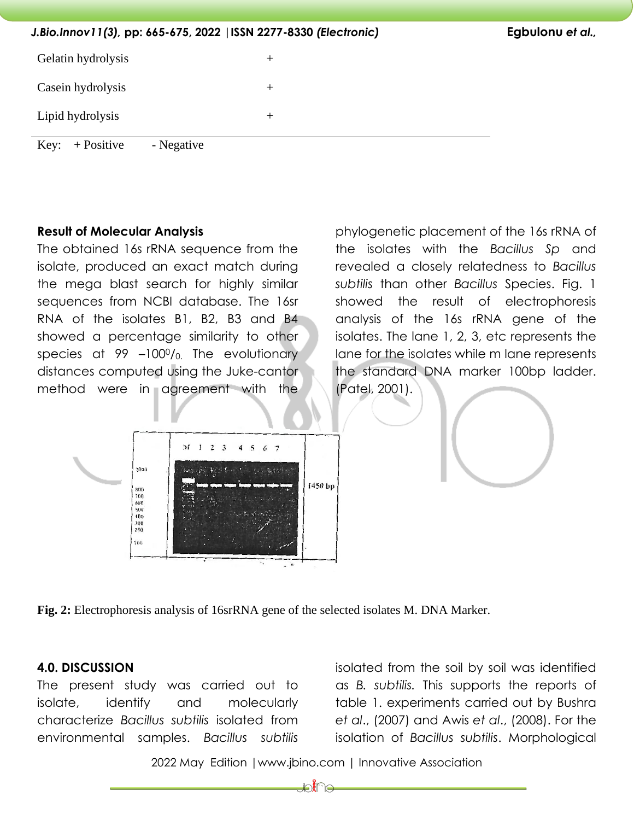*J.Bio.Innov11(3),* **pp: 665-675, 2022 |ISSN 2277-8330** *(Electronic)* **Egbulonu** *et al.,* Gelatin hydrolysis + Casein hydrolysis + Lipid hydrolysis + Key:  $+$  Positive - Negative

## **Result of Molecular Analysis**

The obtained 16s rRNA sequence from the isolate, produced an exact match during the mega blast search for highly similar sequences from NCBI database. The 16sr RNA of the isolates B1, B2, B3 and B4 showed a percentage similarity to other species at  $99 -100\%$ . The evolutionary distances computed using the Juke-cantor method were in agreement with the

phylogenetic placement of the 16s rRNA of the isolates with the *Bacillus Sp* and revealed a closely relatedness to *Bacillus subtilis* than other *Bacillus* Species. Fig. 1 showed the result of electrophoresis analysis of the 16s rRNA gene of the isolates. The lane 1, 2, 3, etc represents the lane for the isolates while m lane represents the standard DNA marker 100bp ladder. (Patel, 2001).



**Fig. 2:** Electrophoresis analysis of 16srRNA gene of the selected isolates M. DNA Marker.

## **4.0. DISCUSSION**

The present study was carried out to isolate, identify and molecularly characterize *Bacillus subtilis* isolated from environmental samples. *Bacillus subtilis*

isolated from the soil by soil was identified as *B. subtilis.* This supports the reports of table 1. experiments carried out by Bushra *et al*., (2007) and Awis *et al*., (2008). For the isolation of *Bacillus subtilis*. Morphological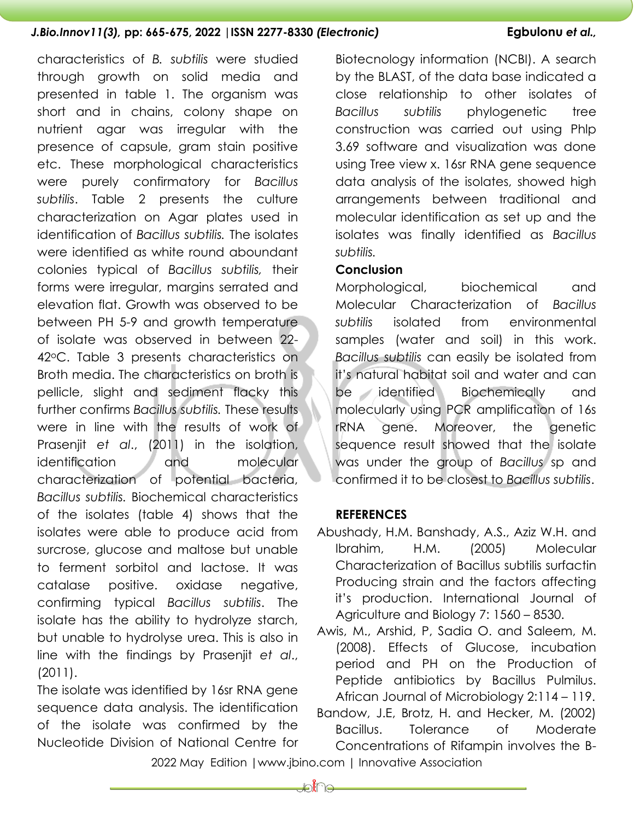characteristics of *B. subtilis* were studied through growth on solid media and presented in table 1. The organism was short and in chains, colony shape on nutrient agar was irregular with the presence of capsule, gram stain positive etc. These morphological characteristics were purely confirmatory for *Bacillus subtilis*. Table 2 presents the culture characterization on Agar plates used in identification of *Bacillus subtilis.* The isolates were identified as white round aboundant colonies typical of *Bacillus subtilis,* their forms were irregular, margins serrated and elevation flat. Growth was observed to be between PH 5-9 and growth temperature of isolate was observed in between 22- 42oC. Table 3 presents characteristics on Broth media. The characteristics on broth is pellicle, slight and sediment flacky this further confirms *Bacillus subtilis.* These results were in line with the results of work of Prasenjit *et al*., (2011) in the isolation, identification and molecular characterization of potential bacteria, *Bacillus subtilis.* Biochemical characteristics of the isolates (table 4) shows that the isolates were able to produce acid from surcrose, glucose and maltose but unable to ferment sorbitol and lactose. It was catalase positive. oxidase negative, confirming typical *Bacillus subtilis*. The isolate has the ability to hydrolyze starch, but unable to hydrolyse urea. This is also in line with the findings by Prasenjit *et al*., (2011).

The isolate was identified by 16sr RNA gene sequence data analysis. The identification of the isolate was confirmed by the Nucleotide Division of National Centre for Biotecnology information (NCBI). A search by the BLAST, of the data base indicated a close relationship to other isolates of *Bacillus subtilis* phylogenetic tree construction was carried out using Phlp 3.69 software and visualization was done using Tree view x. 16sr RNA gene sequence data analysis of the isolates, showed high arrangements between traditional and molecular identification as set up and the isolates was finally identified as *Bacillus subtilis.*

#### **Conclusion**

Morphological, biochemical and Molecular Characterization of *Bacillus subtilis* isolated from environmental samples (water and soil) in this work. *Bacillus subtilis* can easily be isolated from it's natural habitat soil and water and can be identified Biochemically and molecularly using PCR amplification of 16s rRNA gene. Moreover, the genetic sequence result showed that the isolate was under the group of *Bacillus* sp and confirmed it to be closest to *Bacillus subtilis*.

#### **REFERENCES**

Abushady, H.M. Banshady, A.S., Aziz W.H. and Ibrahim, H.M. (2005) Molecular Characterization of Bacillus subtilis surfactin Producing strain and the factors affecting it's production. International Journal of Agriculture and Biology 7: 1560 – 8530.

Awis, M., Arshid, P, Sadia O. and Saleem, M. (2008). Effects of Glucose, incubation period and PH on the Production of Peptide antibiotics by Bacillus Pulmilus. African Journal of Microbiology 2:114 – 119.

Bandow, J.E, Brotz, H. and Hecker, M. (2002) Bacillus. Tolerance of Moderate Concentrations of Rifampin involves the B-